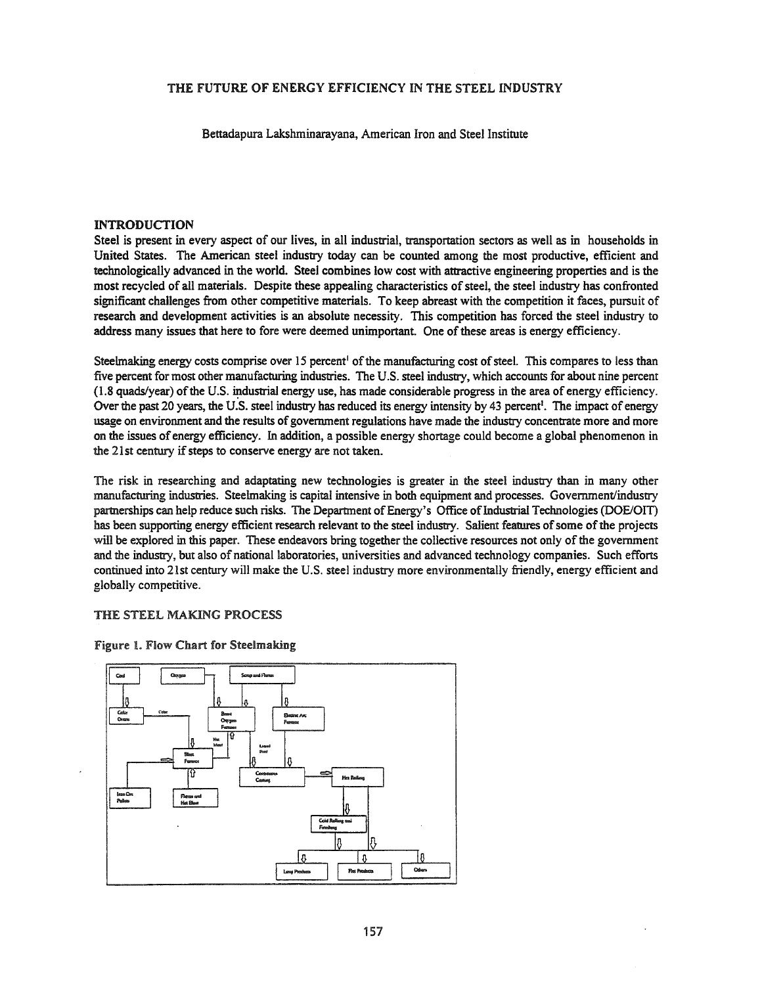# THE FUTURE OF ENERGY EFFICIENCY IN THE STEEL INDUSTRY

Bettadapura Lakshminarayana, American Iron and Steel Institute

## INTRODUCTION

Steel is present in every aspect of our lives, in all industrial, transportation sectors as well as in households in United States. The American steel industry today can be counted among the most productive, efficient and technologically advanced in the world. Steel combines low cost with attractive engineering properties and is the most recycled of all materials. Despite these appealing characteristics of steel, the steel industry has confronted significant challenges from other competitive materials. To keep abreast with the competition it faces, pursuit of research and development activities is an absolute necessity. This competition has forced the steel industry to address many issues that here to fore were deemed unimportant. One of these areas is energy efficiency.

Steelmaking energy costs comprise over 15 percent<sup>1</sup> of the manufacturing cost of steel. This compares to less than five percent for most other manufacturing industries. The U.S. steel industry, which accounts for about nine percent  $(1.8 \text{ quads/year})$  of the U.S. industrial energy use, has made considerable progress in the area of energy efficiency. Over the past 20 years, the U.S. steel industry has reduced its energy intensity by 43 percent<sup>1</sup>. The impact of energy usage on environment and the results of government regulations have made the industry concentrate more and more on the issues of energy efficiency. In addition, a possible energy shortage could become a global phenomenon in the 21st century if steps to conserve energy are not taken.

The risk in researching and adaptating new technologies is greater in the steel industry than in many other manufacturing industries. Steelmaking is capital intensive in both equipment and processes. Government/industry partnerships can help reduce such risks. The Department of Energy's Office of Industrial Technologies (DOE/OIT) has been supporting energy efficient research relevant to the steel industry. Salient features of some of the projects will be explored in this paper. These endeavors bring together the collective resources not only of the government and the industry, but also of national laboratories, universities and advanced technology companies. Such efforts continued into 21st century will make the U.S. steel industry more environmentally friendly, energy efficient and globally competitive.

# THE STEEL MAKING PROCESS



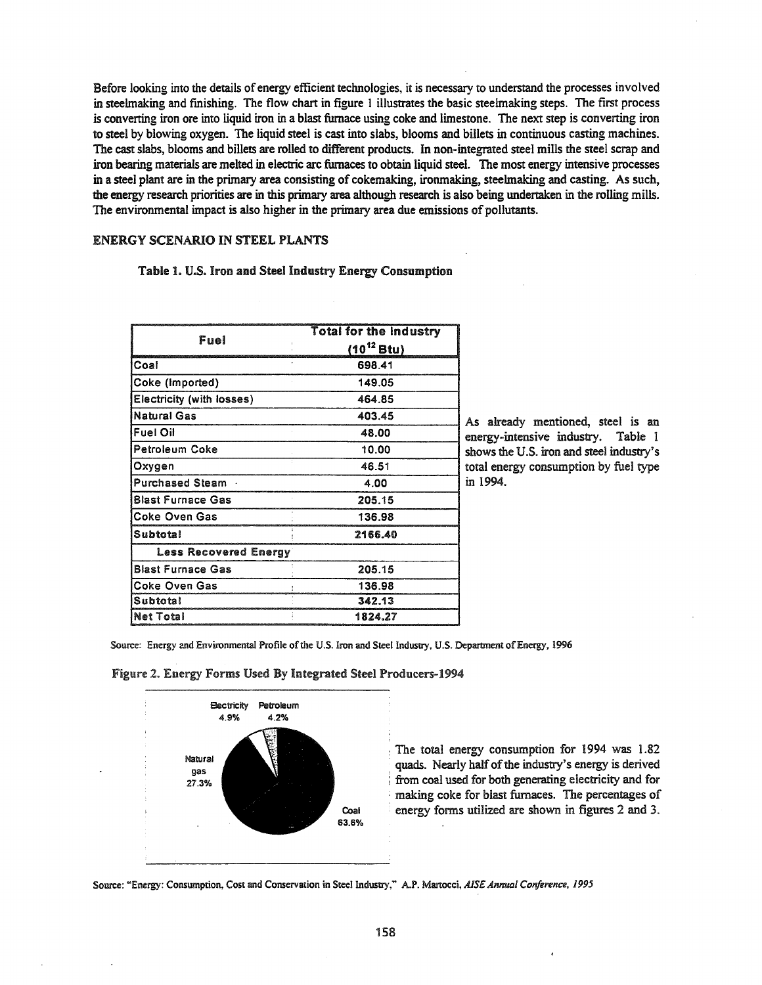Before looking into the details of energy efficient technologies, it is necessary to understand the processes involved in steelmaking and fmishing. The flow chart in figure I illustrates the basic steelmaking steps. The first process is converting iron ore into liquid iron in a blast furnace using coke and limestone. The next step is converting iron to steel by blowing oxygen. The liquid steel is cast into slabs, blooms and billets in continuous casting machines. The cast slabs, blooms and billets are rolled to different products. In non-integrated steel mills the steel scrap and iron bearing materials are melted in electric arc furnaces to obtain liquid steel. The most energy intensive processes in a steel plant are in the primary area consisting of cokemaking, ironmaking, steelmaking and casting. As such, the energy research priorities are in this primary area although research is also being undertaken in the rolling mills. The environmental impact is also higher in the primary area due emissions of pollutants.

## ENERGY SCENARIO IN STEEL PLANTS

## Table 1. U.S. Iron and Steel Industry Energy Consumption

|                              | <b>Total for the Industry</b> |  |  |
|------------------------------|-------------------------------|--|--|
| Fuel                         | $(10^{12}$ Btu)               |  |  |
| Coal                         | 698.41                        |  |  |
| Coke (Imported)              | 149.05                        |  |  |
| Electricity (with losses)    | 464.85                        |  |  |
| <b>Natural Gas</b>           | 403.45                        |  |  |
| <b>Fuel Oil</b>              | 48.00                         |  |  |
| Petroleum Coke               | 10.00                         |  |  |
| Oxygen                       | 46.51                         |  |  |
| Purchased Steam .            | 4.00                          |  |  |
| <b>Blast Furnace Gas</b>     | 205.15                        |  |  |
| <b>Coke Oven Gas</b>         | 136.98                        |  |  |
| Subtotal                     | 2166.40                       |  |  |
| <b>Less Recovered Energy</b> |                               |  |  |
| <b>Blast Furnace Gas</b>     | 205.15                        |  |  |
| <b>Coke Oven Gas</b>         | 136.98                        |  |  |
| Subtotal                     | 342.13                        |  |  |
| <b>Net Total</b>             | 1824.27                       |  |  |

As already mentioned, steel is an energy-intensive industry. Table 1 shows the U.S. iron and steel industry's total energy consumption by fuel type in 1994.

Source: Energy and Environmental Profile of the U.S. Iron and Steel Industry, U.S. Department of Energy, 1996

#### Figure 2. Energy Forms Used By Integrated Steel Producers-1994



The total energy consumption for 1994 was 1.82 quads. Nearly half of the industry's energy is derived from coal used for both generating electricity and for making coke for blast furnaces. The percentages of energy forms utilized are shown in figures 2 and 3.

Source: "Energy: Consumption, Cost and Conservation in Steel Industry," A.P. Martocci, *AISE Annual Conference*, 1995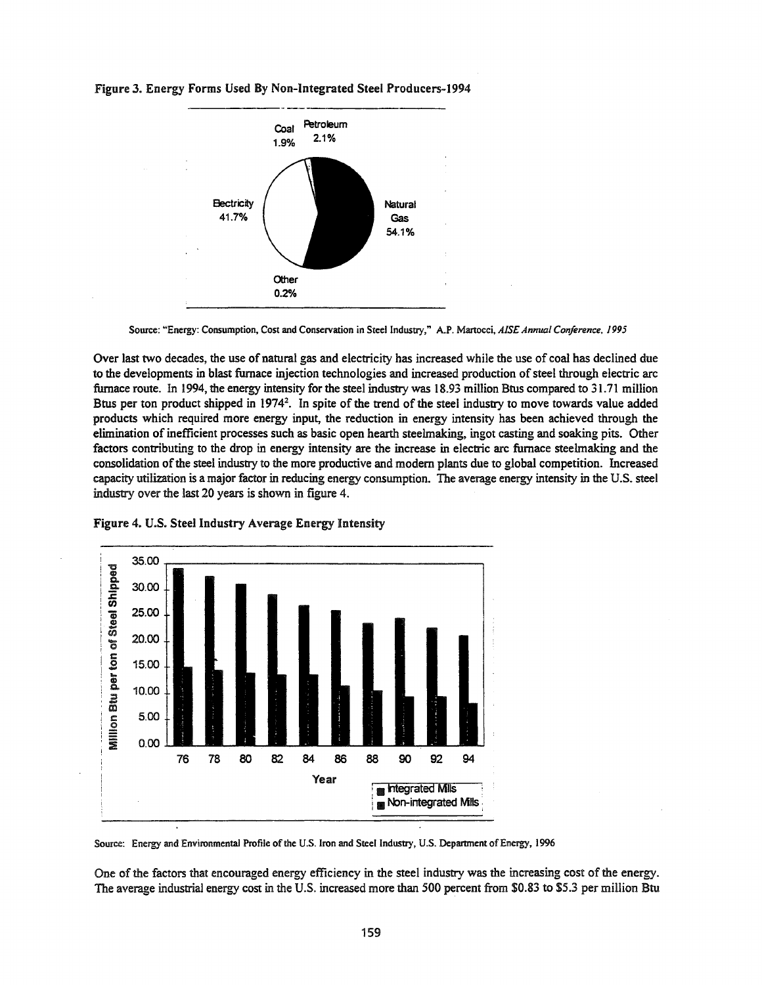

Figure 3. Energy Forms Used By Non-Integrated Steel Producers-1994

Over last two decades, the use of natural gas and electricity has increased while the use of coal has declined due to the developments in blast furnace injection technologies and increased production of steel through electric arc furnace route. In 1994, the energy intensity for the steel industry was 18.93 million Btus compared to 31.71 million Btus per ton product shipped in 1974<sup>2</sup>. In spite of the trend of the steel industry to move towards value added products which required more energy input, the reduction in energy intensity has been achieved through the elimination ofinefficient processes such as basic open hearth steelmaking, ingot casting and soaking pits. Other factors contributing to the drop in energy intensity are the increase in electric arc furnace steelmaking and the consolidation ofthe steel industry to the more productive and modem plants due to global competition. Increased capacity utilization is a major factor in reducing energy consumption. The average energy intensity in the U.S. steel industry over the last 20 years is shown in figure 4.



Figure 4. U.S. Steel Industry Average Energy Intensity

One of the factors that encouraged energy efficiency in the steel industry was the increasing cost of the energy. The average industrial energy cost in the U.S. increased more than 500 percent from \$0.83 to \$5.3 per million Btu

Source: "Energy: Consumption, Cost and Conservation in Steel Industry," A.P. Martocci, *AIS£ Annual Conference. 1995*

Source: Energy and Environmental Profile of the U.S. Iron and Steel Industry, U.S. Department of Energy, 1996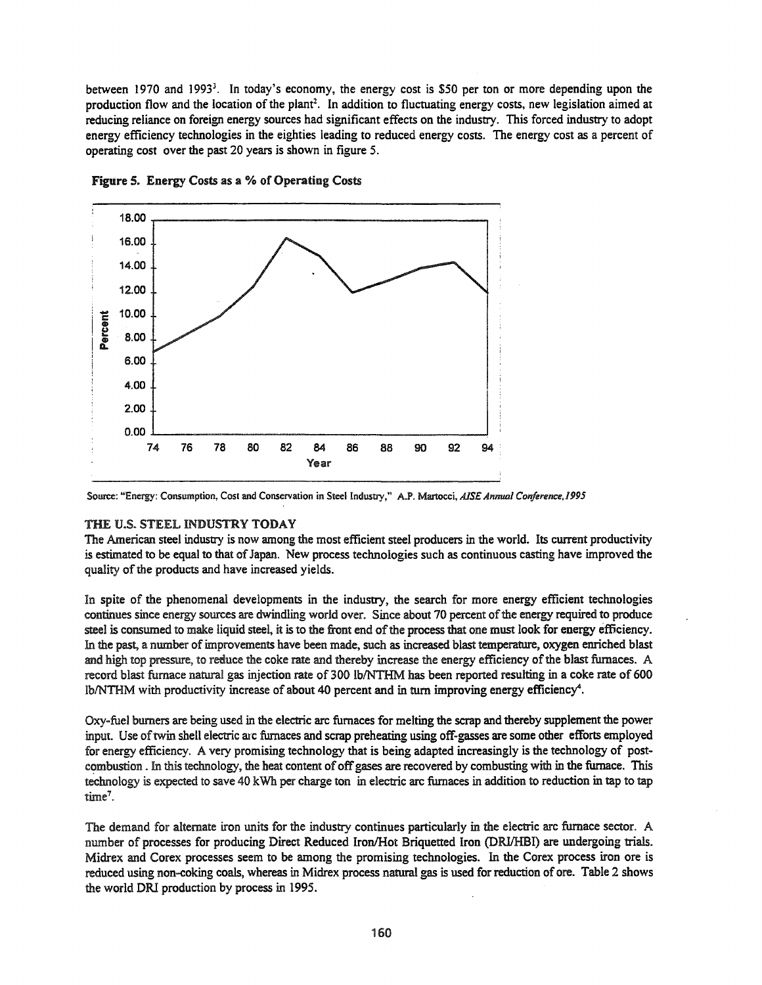between 1970 and 1993<sup>3</sup>. In today's economy, the energy cost is \$50 per ton or more depending upon the production flow and the location of the plant<sup>2</sup>. In addition to fluctuating energy costs, new legislation aimed at reducing reliance on foreign energy sources had significant effects on the industry. This forced industry to adopt energy efficiency technologies in the eighties leading to reduced energy costs. The energy cost as a percent of operating cost over the past 20 years is shown in figure 5.



Figure 5. Energy Costs as a % of Operating Costs

Source: "Energy: Consumption, Cost and Conservation in Steel Industry," A.P. Martocci, *AISE Annual Conference*, 1995

# THE U.S. STEEL INDUSTRY TODAY

The American steel industry is now among the most efficient steel producers in the world. Its current productivity is estimated to be equal to that of Japan. New process technologies such as continuous casting have improved the quality of the products and have increased yields.

In spite of the phenomenal developments in the industry, the search for more energy efficient technologies continues since energy sources are dwindling world over. Since about 70 percent of the energy required to produce steel is consumed to make liquid steel, it is to the front end of the process that one must look for energy efficiency. In the past, a number of improvements have been made, such as increased blast temperature, oxygen enriched blast and high top pressure, to reduce the coke rate and thereby increase the energy efficiency ofthe blast furnaces. A record blast furnace natural gas injection rate of 300 lb/NTHM has been reported resulting in a coke rate of 600 IblNTHM with productivity increase of about 40 percent and in tum improving energy efficiency".

Oxy~fuel burners are being used in the electric arc furnaces for melting the scrap and thereby supplement the power input. Use of twin shell electric arc furnaces and scrap preheating using off-gasses are some other efforts employed for energy efficiency. A very promising technology that is being adapted increasingly is the technology of postcombustion. In this technology, the heat content of off gases are recovered by combusting with in the furnace. This technology is expected to save 40 kWh per charge ton in electric arc furnaces in addition to reduction in tap to tap  $time<sup>7</sup>$ .

The demand for alternate iron units for the industry continues particularly in the electric arc furnace sector. A number of processes for producing Direct Reduced Iron/Hot Briquetted Iron (DRI/HBI) are undergoing trials. Midrex and Corex processes seem to be among the promising technologies. In the Corex process iron ore is reduced using non-coking coals, whereas in Midrex process natural gas is used for reduction of ore. Table 2 shows the world DRl production by process in 1995.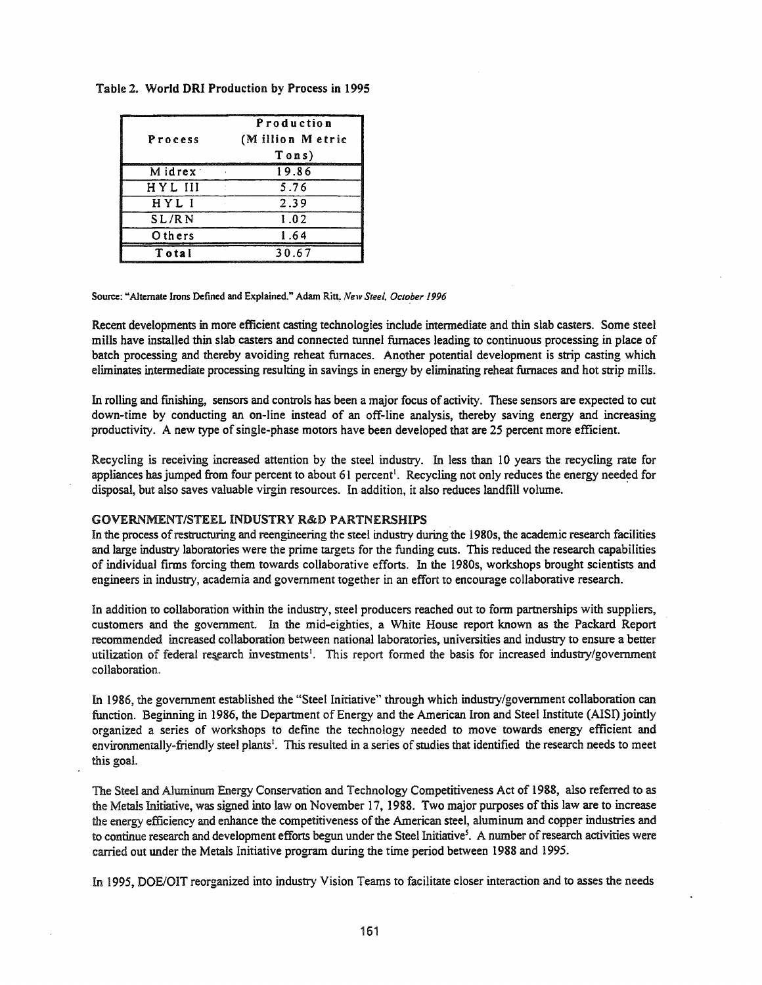| Process  | Production<br>(Million Metric<br>Tons) |  |
|----------|----------------------------------------|--|
| Midrex : | 19.86                                  |  |
| HYL III  | 5.76                                   |  |
| HYL I    | 2.39                                   |  |
| SL/RN    | 1.02                                   |  |
| Others   | 1.64                                   |  |
| Total    | 30.67                                  |  |

## Table 2. World **DRI** Production by Process in 1995

#### Source: "Alternate Irons Defined and Explained." Adam Ritt *New Steel. October 1996*

Recent developments in more efficient casting technologies include intermediate and thin slab casters. Some steel mills have installed thin slab casters and connected tunnel furnaces leading to continuous processing in place of batch processing and thereby avoiding reheat furnaces. Another potential development is strip casting which eliminates intermediate processing resulting in savings in energy by eliminating reheat furnaces and hot strip mills.

In rolling and fmishing, sensors and controls has been a major focus of activity. These sensors are expected to cut down-time by conducting an on-line instead of an off-line analysis, thereby saving energy and increasing productivity. A new type of single-phase motors have been developed that are 25 percent more efficient.

Recycling is receiving increased attention by the steel industry. In less than 10 years the recycling rate for appliances has jumped from four percent to about 61 percent<sup>1</sup>. Recycling not only reduces the energy needed for disposal, but also saves valuable virgin resources. In addition, it also reduces landfill volume.

## GOVERNMENT/STEEL INDUSTRY R&D PARTNERSHIPS

In the process of restructuring and reengineering the steel industry during the 1980s, the academic research facilities and large industry laboratories were the prime targets for the funding cuts. This reduced the research capabilities of individual firms forcing them towards collaborative efforts. In the 1980s, workshops brought scientists and engineers in industry, academia and government together in an effort to encourage collaborative research.

In addition to collaboration within the industry, steel producers reached out to form partnerships with suppliers, customers and the government. In the mid-eighties, a White House report known as the Packard Report recommended increased collaboration between national laboratories, universities and industry to ensure a better utilization of federal research investments<sup>1</sup>. This report formed the basis for increased industry/government collaboration.

In 1986, the government established the "Steel Initiative" through which industry/government collaboration can function. Beginning in 1986, the Department of Energy and the American Iron and Steel Institute (AISI) jointly organized a series of workshops to defme the technology needed to move towards energy efficient and environmentally-friendly steel plants<sup>1</sup>. This resulted in a series of studies that identified the research needs to meet this goal.

The Steel and Aluminum Energy Conservation and Technology Competitiveness Act of 1988, also referred to as the Metals Initiative, was signed into law on November 17, 1988. Two major purposes ofthis law are to increase the energy efficiency and enhance the competitiveness ofthe American steel, aluminum and copper industries and to continue research and development efforts begun under the Steel Initiative<sup>5</sup>. A number of research activities were carried out under the Metals Initiative program during the time period between 1988 and 1995.

In 1995, DOE/OIT reorganized into industry Vision Teams to facilitate closer interaction and to asses the needs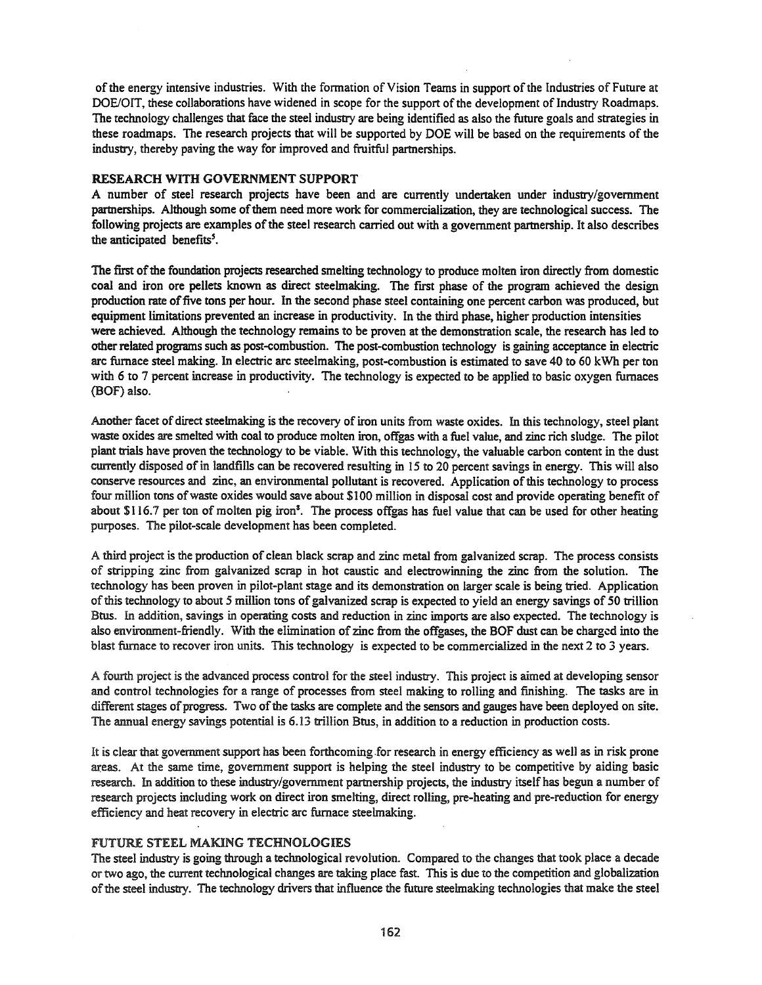ofthe energy intensive industries. With the formation of Vision Teams in support ofthe Industries of Future at DOE/OIT, these collaborations have widened in scope for the support of the development of Industry Roadmaps. The technology challenges that face the steel industry are being identified as also the future goals and strategies in these roadmaps. The research projects that will be supported by DOE will be based on the requirements of the industry, thereby paving the way for improved and fruitful partnerships.

# RESEARCH WITH GOVERNMENT SUPPORT

A number of steel research projects have been and are currently undertaken under industry/government partnerships. Although some of them need more work for commercialization, they are technological success. The following projects are examples of the steel research carried out with a government partnership. It also describes the anticipated benefits<sup>5</sup>.

The first of the foundation projects researched smelting technology to produce molten iron directly from domestic coal and iron ore pellets known as direct steelmaking. The first phase of the program achieved the design production rate offive tons per hour. In the second phase steel containing one percent carbon was produced, but equipment limitations prevented an increase in productivity. In the third phase, higher production intensities were achieved. Although the technology remains to be proven at the demonstration scale, the research has led to other related programs such as post-combustion. The post-combustion technology is gaining acceptance in electric arc furnace steel making. In electric arc steelmaking, post-combustion is estimated to save 40 to 60 kWh per ton with 6 to 7 percent increase in productivity. The technology is expected to be applied to basic oxygen furnaces (BOF) also.

Another facet of direct steelmaking is the recovery of iron units from waste oxides. In this technology, steel plant waste oxides are smelted with coal to produce molten iron, offgas with a fuel value, and zinc rich sludge. The pilot piant trials have proven the technology to be viable. With this technology, the valuable carbon content in the dust currently disposed of in landfills can be recovered resulting in 15 to 20 percent savings in energy. This will also conserve resources and zinc, an environmental pollutant is recovered. Application ofthis technology to process four million tons ofwaste oxides would save about \$100 million in disposal cost and provide operating benefit of about  $$116.7$  per ton of molten pig iron<sup>3</sup>. The process offgas has fuel value that can be used for other heating purposes. The pilot-scale development has been completed.

A third project is the production of clean black scrap and zinc metal from galvanized scrap. The process consists of stripping zinc from galvanized scrap in hot caustic and electrowinning the zinc from the solution. The technology has been proven in pilot-plant stage and its demonstration on larger scale is being tried. Application of this technology to about 5 million tons of galvanized scrap is expected to yield an energy savings of 50 trillion Btus. In addition, savings in operating costs and reduction in zinc imports are also expected. The technology is also environment-friendly. With the elimination of zinc from the offgases, the BOF dust can be charged into the blast furnace to recover iron units. This technology is expected to be commercialized in the next 2 to 3 years.

A fourth project is the advanced process control for the steel industry. This project is aimed at developing sensor and control technologies for a range of processes from steel making to rolling and finishing. The tasks are in different stages of progress. Two of the tasks are complete and the sensors and gauges have been deployed on site. The annual energy savings potential is 6.13 trillion Btus, in addition to a reduction in production costs.

It is clear that government support has been forthcoming .for research in energy efficiency as well as in risk prone areas. At the same time, government support is helping the steel industry to be competitive by aiding basic research. In addition to these industry/government partnership projects, the industry itselfhas begun a number of research projects including work on direct iron smelting, direct rolling, pre-heating and pre-reduction for energy efficiency and heat recovery in electric arc furnace steelmaking.

# FUTURE STEEL MAKING TECHNOLOGIES

The steel industry is going through a technological revolution. Compared to the changes that took place a decade or two ago, the current technological changes are taking place fast. This is due to the competition and globalization ofthe steel industry. The technology drivers that influence the future steelmaking technologies that make the steel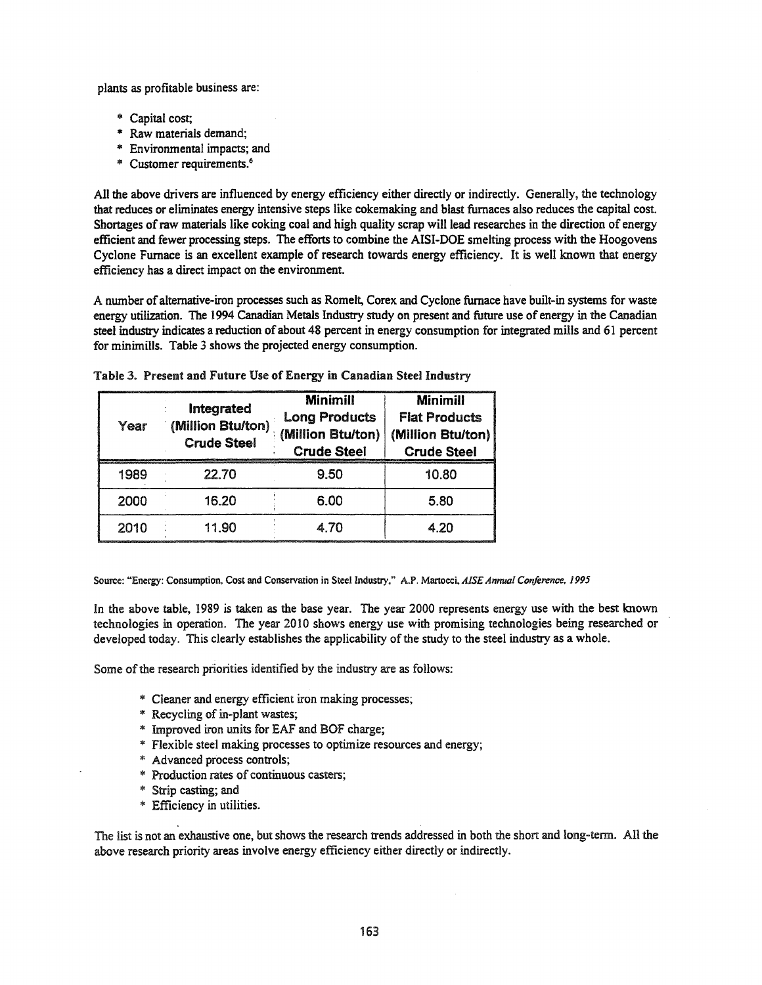plants as profitable business are:

- \* Capital cost;
- \* Raw materials demand;
- \* Environmental impacts; and
- \* Customer requirements.6

All the above drivers are influenced by energy efficiency either directly or indirectly. Generally, the technology that reduces or eliminates energy intensive steps like cokemaking and blast furnaces also reduces the capital cost. Shortages ofraw materials like coking coal and high quality scrap will lead researches in the direction of energy efficient and fewer processing steps. The efforts to combine the AISI-DOE smelting process with the Hoogovens Cyclone Furnace is an excellent example of research towards energy efficiency. It is well known that energy efficiency has a direct impact on the environment.

A number of alternative-iron processes such as Romelt, Corex and Cyclone furnace have built-in systems for waste energy utilization. The 1994 Canadian Metals Industry study on present and future use of energy in the Canadian steel industry indicates a reduction of about 48 percent in energy consumption for integrated mills and 61 percent for minimills. Table 3 shows the projected energy consumption.

| Year | Integrated<br>(Million Btu/ton)<br><b>Crude Steel</b> | <b>Minimill</b><br><b>Long Products</b><br>(Million Btu/ton)<br><b>Crude Steel</b> | <b>Minimill</b><br><b>Flat Products</b><br>(Million Btu/ton)<br><b>Crude Steel</b> |
|------|-------------------------------------------------------|------------------------------------------------------------------------------------|------------------------------------------------------------------------------------|
| 1989 | 22.70                                                 | 9.50                                                                               | 10.80                                                                              |
| 2000 | 16.20                                                 | 6.00                                                                               | 5.80                                                                               |
| 2010 | 11.90                                                 | 4 70                                                                               | 4.20                                                                               |

Table 3. Present and Future Use of Energy in Canadian Steel Industry

Source: "Energy: Consumption. Cost and Conservation in Steel Industry," A.P. Manocci,AISE *Annual Conference, 1995*

In the above table, 1989 is taken as the base year. The year 2000 represents energy use with the best known technologies in operation. The year 2010 shows energy use with promising technologies being researched or developed today. This clearly establishes the applicability of the study to the steel industry as a whole.

Some of the research priorities identified by the industry are as follows:

- \* Cleaner and energy efficient iron making processes;
- \* Recycling of in-plant wastes;
- \* Improved iron units for EAF and BOF charge;
- '" Flexible steel making processes to optimize resources and energy;
- '\* Advanced process controls;
- ... Production rates of continuous casters;
- ... Strip casting; and
- '\* Efficiency in utilities.

The list is not an exhaustive one, but shows the research trends addressed in both the short and long-term. All the above research priority areas involve energy efficiency either directly or indirectly.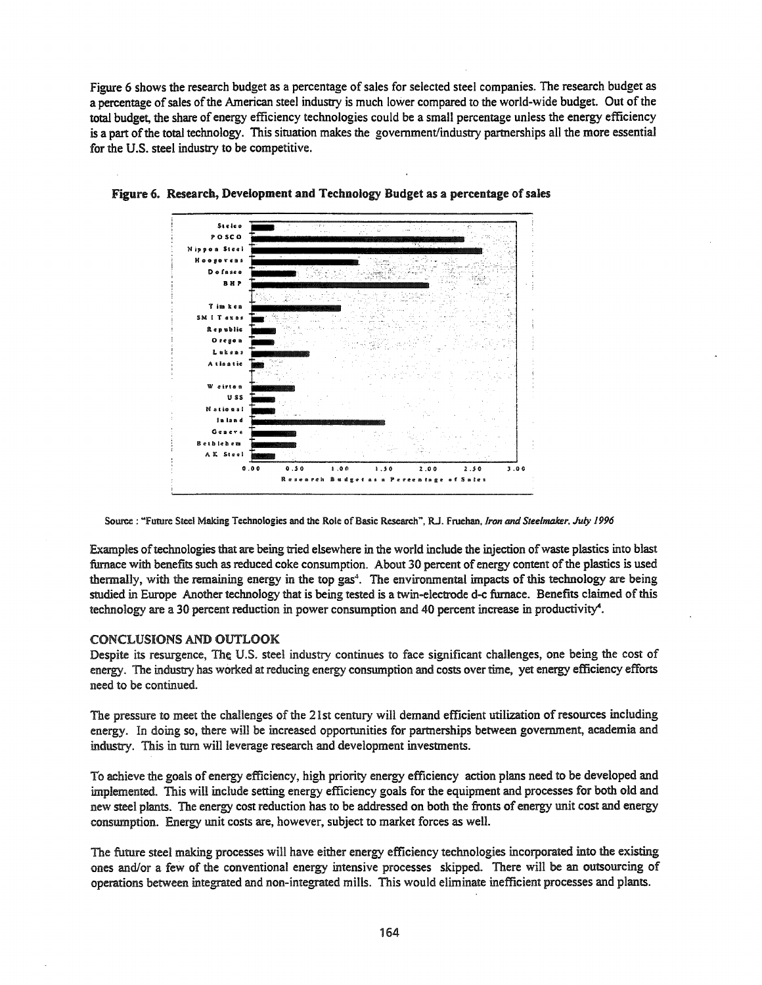Figure 6 shows the research budget as a percentage of sales for selected steel companies. The research budget as a percentage of sales of the American steel industry is much lower compared to the world-wide budget. Out of the total budget, the share of energy efficiency technologies could be a small percentage unless the energy efficiency is a part of the total technology. This situation makes the government/industry partnerships all the more essential for the U.S. steel industry to be competitive.



Figure 6. Researcb, Development and Technology Budget as a percentage ofsales

Source: "Future Steel Making Technologies and the Role of Basic Research", R.J. Fruehan, Iron and Steelmaker, July 1996

Examples of technologies that are being tried elsewhere in the world include the injection of waste plastics into blast furnace with benefits such as reduced coke consumption. About 30 percent of energy content of the plastics is used thermally, with the remaining energy in the top gas<sup>4</sup>. The environmental impacts of this technology are being studied in Europe Another technology that is being tested is a twin-electrode d-c furnace. Benefits claimed of this technology are a 30 percent reduction in power consumption and 40 percent increase in productivity".

## CONCLUSIONS AND OUTLOOK

Despite its resurgence, The U.S. steel industry continues to face significant challenges, one being the cost of energy. The industry has worked at reducing energy consumption and costs over time, yet energy efficiency efforts need to be continued.

The pressure to meet the challenges of the 21st century will demand efficient utilization of resources including energy. In doing so, there will be increased opportunities for partnerships between government, academia and industry. This in tum will leverage research and development investments.

To achieve the goals of energy efficiency, high priority energy efficiency action plans need to be developed and implemented. This will include setting energy efficiency goals for the equipment and processes for both old and new steel plants. The energy cost reduction has to be addressed on both the fronts of energy unit cost and energy consumption. Energy unit costs are, however, subject to market forces as well.

The future steel making processes will have either energy efficiency technologies incorporated into the existing ones and/or a few of the conventional energy intensive processes skipped. There will be an outsourcing of operations between integrated and non-integrated mills. This would eliminate inefficient processes and plants.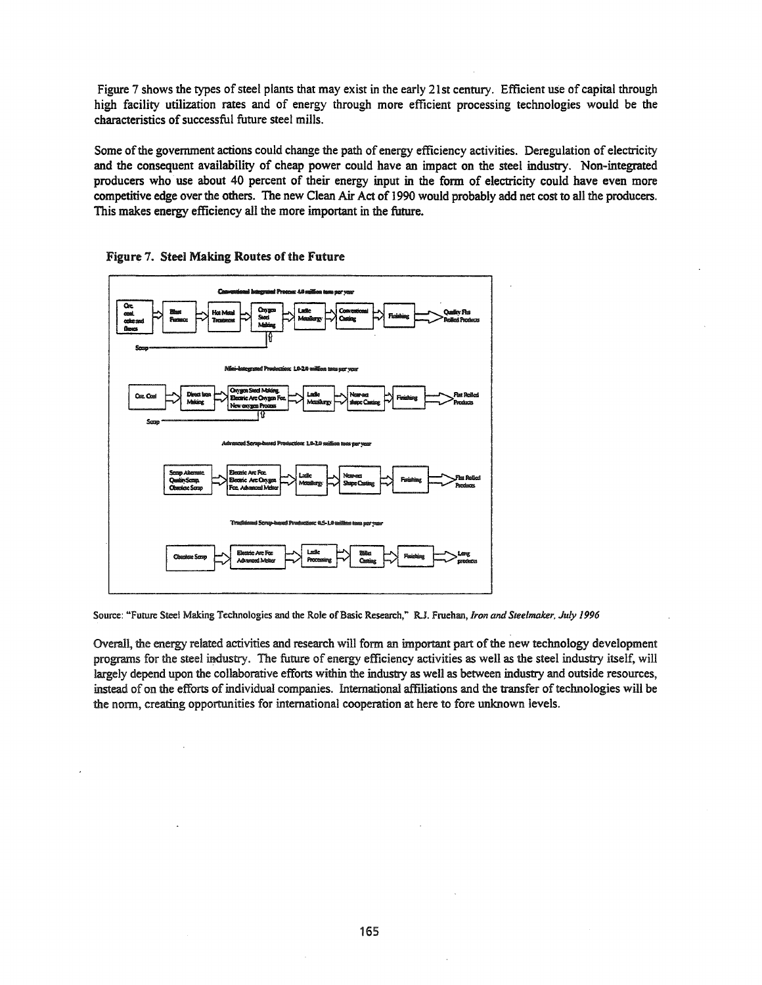Figure 7 shows the types of steel plants that may exist in the early 21st century. Efficient use of capital through high facility utilization rates and of energy through more efficient processing technologies would be the characteristics of successful future steel mills.

Some of the government actions could change the path of energy efficiency activities. Deregulation of electricity and the consequent availability of cheap power could have an impact on the steel industry. Non-integrated producers who use about 40 percent of their energy input in the form of electricity could have even more competitive edge over the others. The new Clean Air Act of 1990 would probably add net cost to all the producers. This makes energy efficiency all the more important in the future.





Source: "Future Steel Making Technologies and the Role of Basic Research," R.J. Fruehan, *Iron and Steelmaker, July 1996* 

Overall, the energy related activities and research will form an important part of the new technology development programs for the steel industry. The future of energy efficiency activities as well as the steel industry itself, will largely depend upon the collaborative efforts within the industry as well as between industry and outside resources, instead of on the efforts of individual companies. International affiliations and the transfer of technologies will be the norm, creating opportunities for international cooperation at here to fore unknown levels.